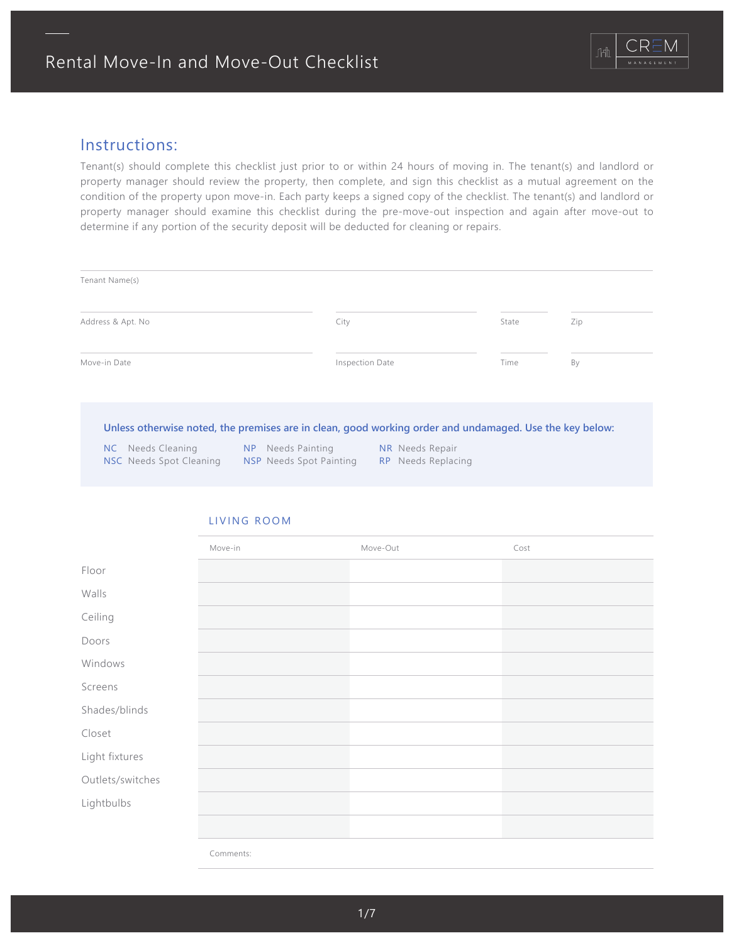

# Instructions:

Tenant(s) should complete this checklist just prior to or within 24 hours of moving in. The tenant(s) and landlord or property manager should review the property, then complete, and sign this checklist as a mutual agreement on the condition of the property upon move-in. Each party keeps a signed copy of the checklist. The tenant(s) and landlord or property manager should examine this checklist during the pre-move-out inspection and again after move-out to determine if any portion of the security deposit will be deducted for cleaning or repairs.

| Tenant Name(s)    |      |                                                                                                         |                 |                                                  |      |                                                     |       |     |
|-------------------|------|---------------------------------------------------------------------------------------------------------|-----------------|--------------------------------------------------|------|-----------------------------------------------------|-------|-----|
| Address & Apt. No |      |                                                                                                         |                 | City                                             |      |                                                     | State | Zip |
| Move-in Date      |      |                                                                                                         | Inspection Date |                                                  | Time | By                                                  |       |     |
|                   |      | Unless otherwise noted, the premises are in clean, good working order and undamaged. Use the key below: |                 |                                                  |      |                                                     |       |     |
|                   | NC . | Needs Cleaning<br><b>NSC</b> Needs Spot Cleaning                                                        | NP NP           | Needs Painting<br><b>NSP</b> Needs Spot Painting |      | <b>NR</b> Needs Repair<br><b>RP</b> Needs Replacing |       |     |

# Floor Walls Ceiling Doors Windows Screens Shades/blinds Light fixtures Outlets/switches Lightbulbs Closet Move-in **Move-Out Cost** Comments:

# LIVING ROOM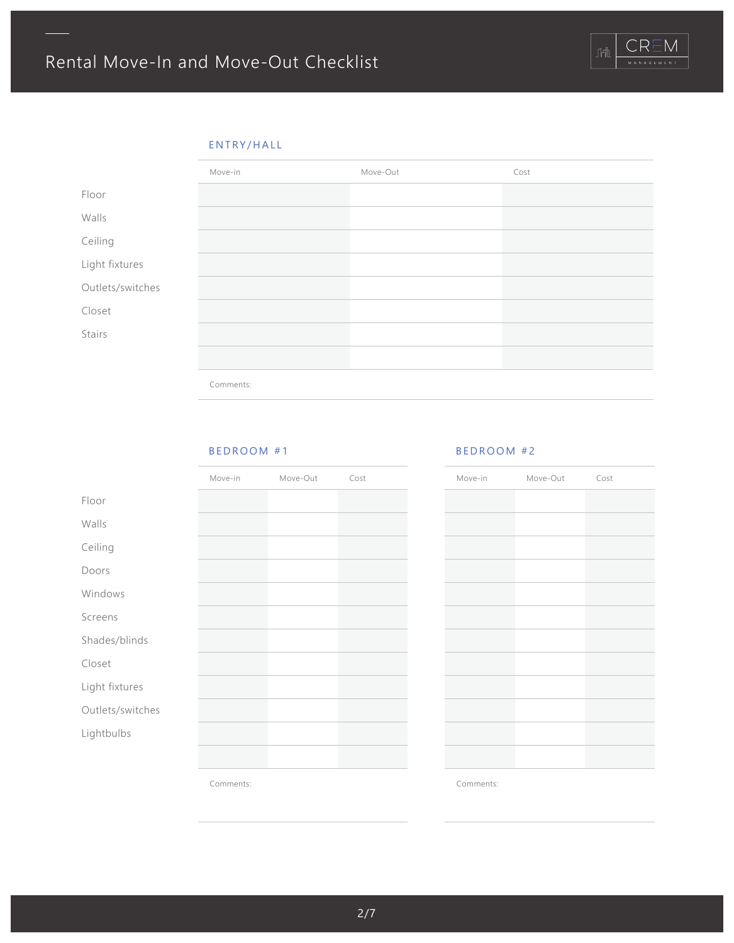# ENTRY/HALL



### BEDROOM #1

|                  | Move-in | Move-Out | Cost |
|------------------|---------|----------|------|
| Floor            |         |          |      |
| Walls            |         |          |      |
| Ceiling          |         |          |      |
| Doors            |         |          |      |
| Windows          |         |          |      |
| Screens          |         |          |      |
| Shades/blinds    |         |          |      |
| Closet           |         |          |      |
| Light fixtures   |         |          |      |
| Outlets/switches |         |          |      |
| Lightbulbs       |         |          |      |
|                  |         |          |      |
|                  |         |          |      |

# Move-in Move-Out Cost

Comments:

Comments:

BEDROOM #2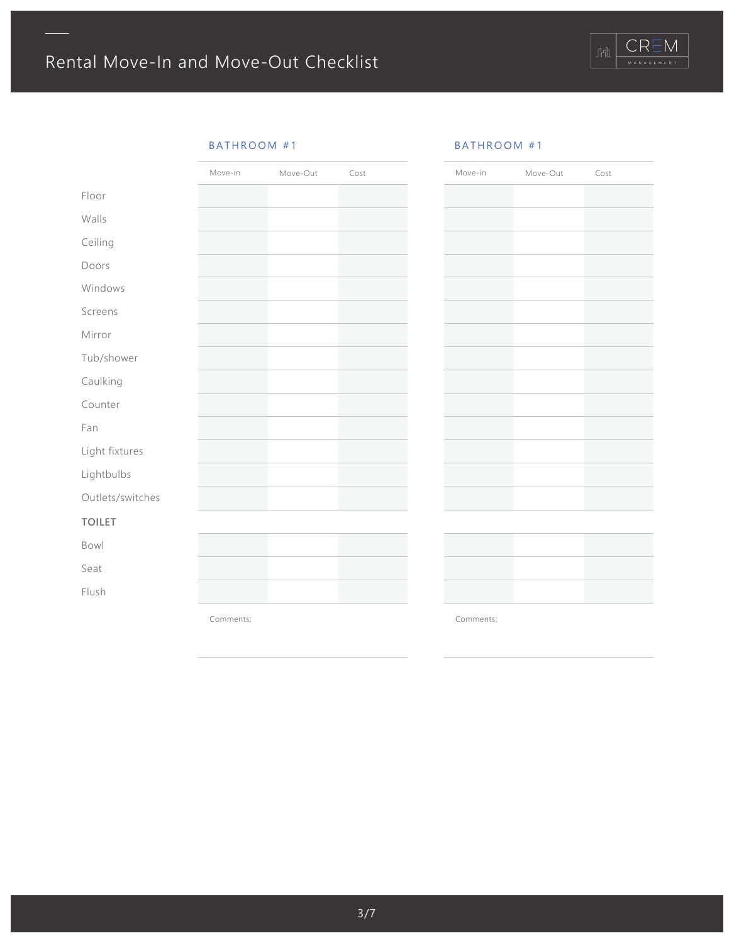# BATHROOM #1

|                  | Move-in | Move-Out | Cost |  |
|------------------|---------|----------|------|--|
| Floor            |         |          |      |  |
| Walls            |         |          |      |  |
| Ceiling          |         |          |      |  |
| Doors            |         |          |      |  |
| Windows          |         |          |      |  |
| Screens          |         |          |      |  |
| Mirror           |         |          |      |  |
| Tub/shower       |         |          |      |  |
| Caulking         |         |          |      |  |
| Counter          |         |          |      |  |
| Fan              |         |          |      |  |
| Light fixtures   |         |          |      |  |
| Lightbulbs       |         |          |      |  |
| Outlets/switches |         |          |      |  |
| <b>TOILET</b>    |         |          |      |  |
| Bowl             |         |          |      |  |
| Seat             |         |          |      |  |
| Flush            |         |          |      |  |
|                  |         |          |      |  |

### BATHROOM #1

| Move-in | Move-Out | Cost |
|---------|----------|------|
|         |          |      |
|         |          |      |
|         |          |      |
|         |          |      |
|         |          |      |
|         |          |      |
|         |          |      |
|         |          |      |
|         |          |      |
|         |          |      |
|         |          |      |
|         |          |      |
|         |          |      |
|         |          |      |
|         |          |      |

Comments:

Comments: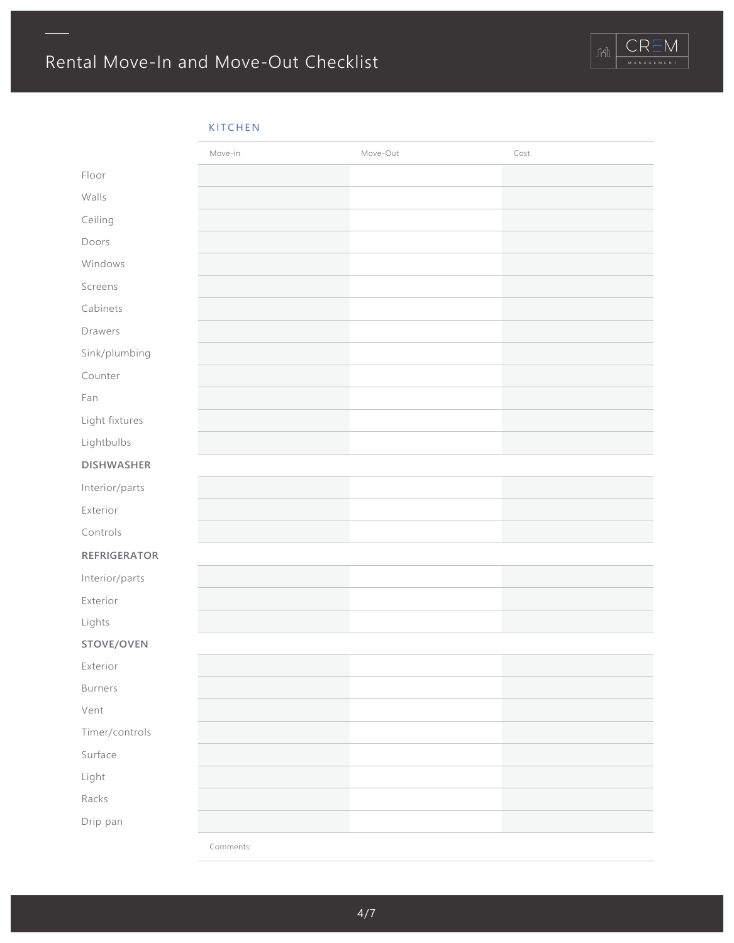

### KITCHEN

|                   | Move-in   | Move-Out | Cost |
|-------------------|-----------|----------|------|
| Floor             |           |          |      |
| Walls             |           |          |      |
| Ceiling           |           |          |      |
| Doors             |           |          |      |
| Windows           |           |          |      |
| Screens           |           |          |      |
| Cabinets          |           |          |      |
| Drawers           |           |          |      |
| Sink/plumbing     |           |          |      |
| Counter           |           |          |      |
| Fan               |           |          |      |
| Light fixtures    |           |          |      |
| Lightbulbs        |           |          |      |
| <b>DISHWASHER</b> |           |          |      |
| Interior/parts    |           |          |      |
| Exterior          |           |          |      |
| Controls          |           |          |      |
| REFRIGERATOR      |           |          |      |
| Interior/parts    |           |          |      |
| Exterior          |           |          |      |
| Lights            |           |          |      |
| STOVE/OVEN        |           |          |      |
| Exterior          |           |          |      |
| <b>Burners</b>    |           |          |      |
| Vent              |           |          |      |
| Timer/controls    |           |          |      |
| Surface           |           |          |      |
| Light             |           |          |      |
| Racks             |           |          |      |
| Drip pan          |           |          |      |
|                   | Comments: |          |      |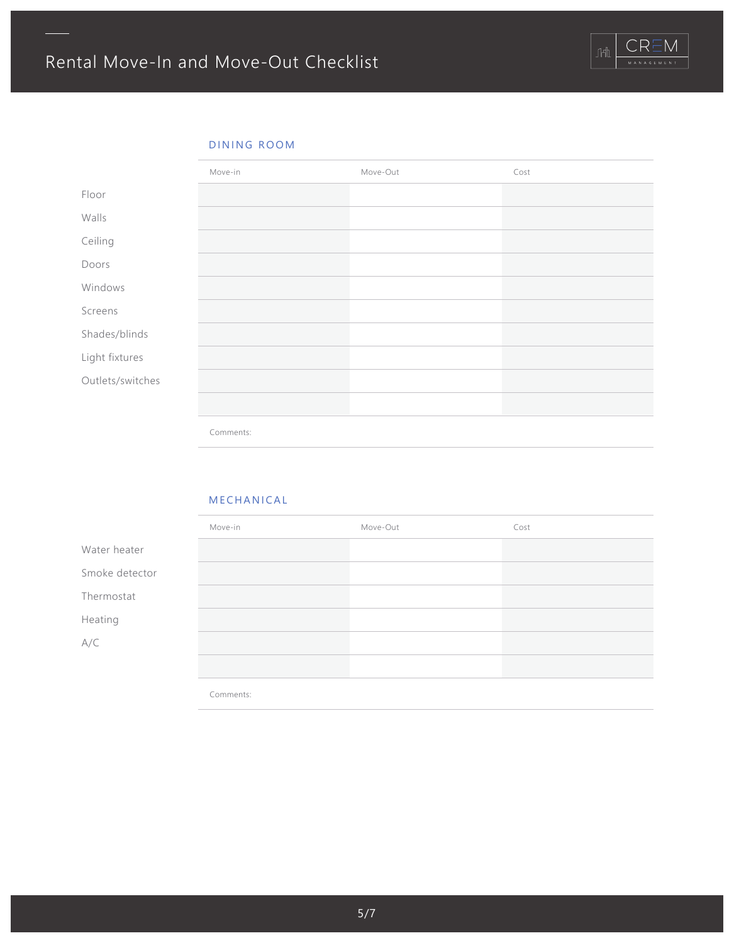

# DINING ROOM



### MECHANICAL

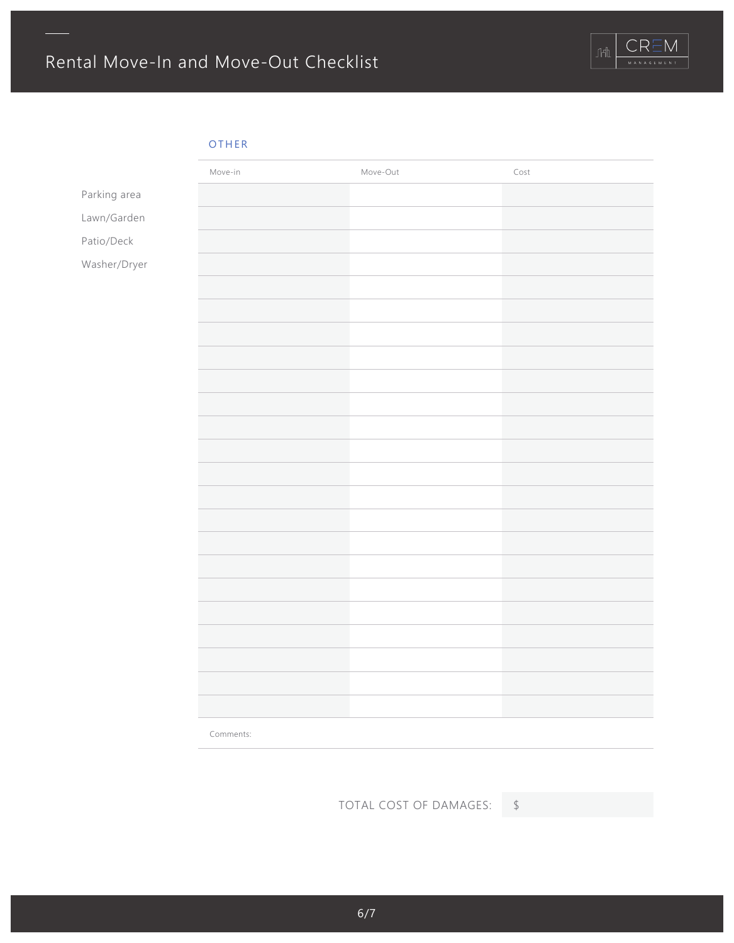

# OTHER

|              | Move-in   | Move-Out | Cost |
|--------------|-----------|----------|------|
| Parking area |           |          |      |
| Lawn/Garden  |           |          |      |
| Patio/Deck   |           |          |      |
| Washer/Dryer |           |          |      |
|              |           |          |      |
|              |           |          |      |
|              |           |          |      |
|              |           |          |      |
|              |           |          |      |
|              |           |          |      |
|              |           |          |      |
|              |           |          |      |
|              |           |          |      |
|              |           |          |      |
|              |           |          |      |
|              |           |          |      |
|              |           |          |      |
|              |           |          |      |
|              |           |          |      |
|              |           |          |      |
|              |           |          |      |
|              |           |          |      |
|              |           |          |      |
|              | Comments: |          |      |

TOTAL COST OF DAMAGES: \$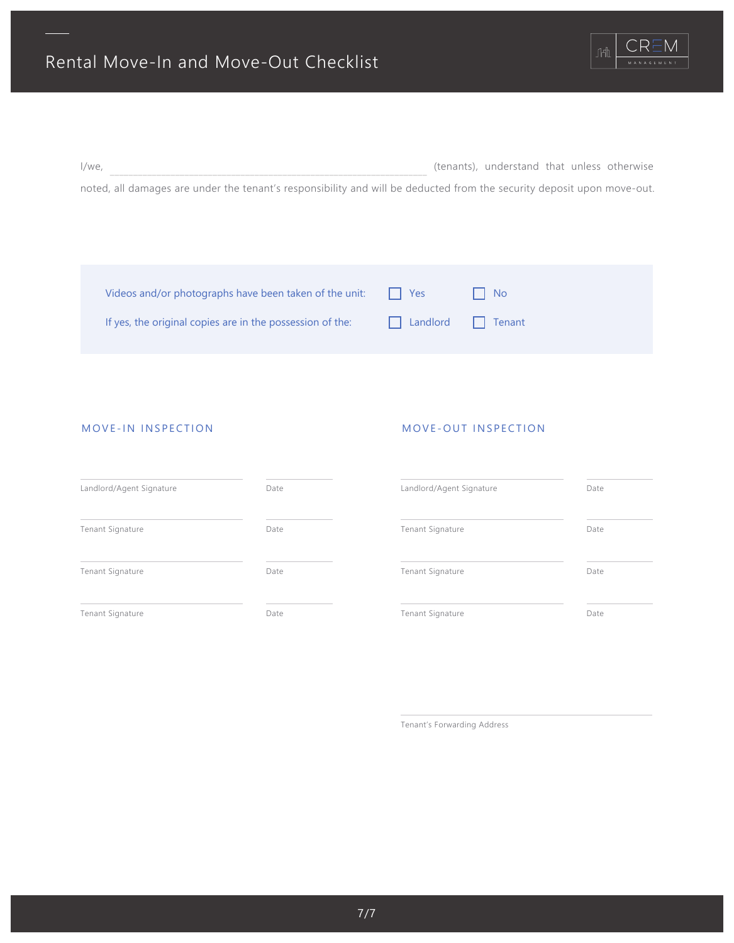

| l/we,                                                                                                                  | (tenants), understand that unless otherwise |  |  |
|------------------------------------------------------------------------------------------------------------------------|---------------------------------------------|--|--|
| noted, all damages are under the tenant's responsibility and will be deducted from the security deposit upon move-out. |                                             |  |  |

| Videos and/or photographs have been taken of the unit:    | I l Yes           | l I No |
|-----------------------------------------------------------|-------------------|--------|
| If yes, the original copies are in the possession of the: | Landlord   Tenant |        |

### MOVE-IN INSPECTION

### MOVE-OUT INSPECTION

| Landlord/Agent Signature | Date | Landlord/Agent Signature | Date |
|--------------------------|------|--------------------------|------|
| Tenant Signature         | Date | Tenant Signature         | Date |
| Tenant Signature         | Date | Tenant Signature         | Date |
| Tenant Signature         | Date | Tenant Signature         | Date |

Tenant's Forwarding Address